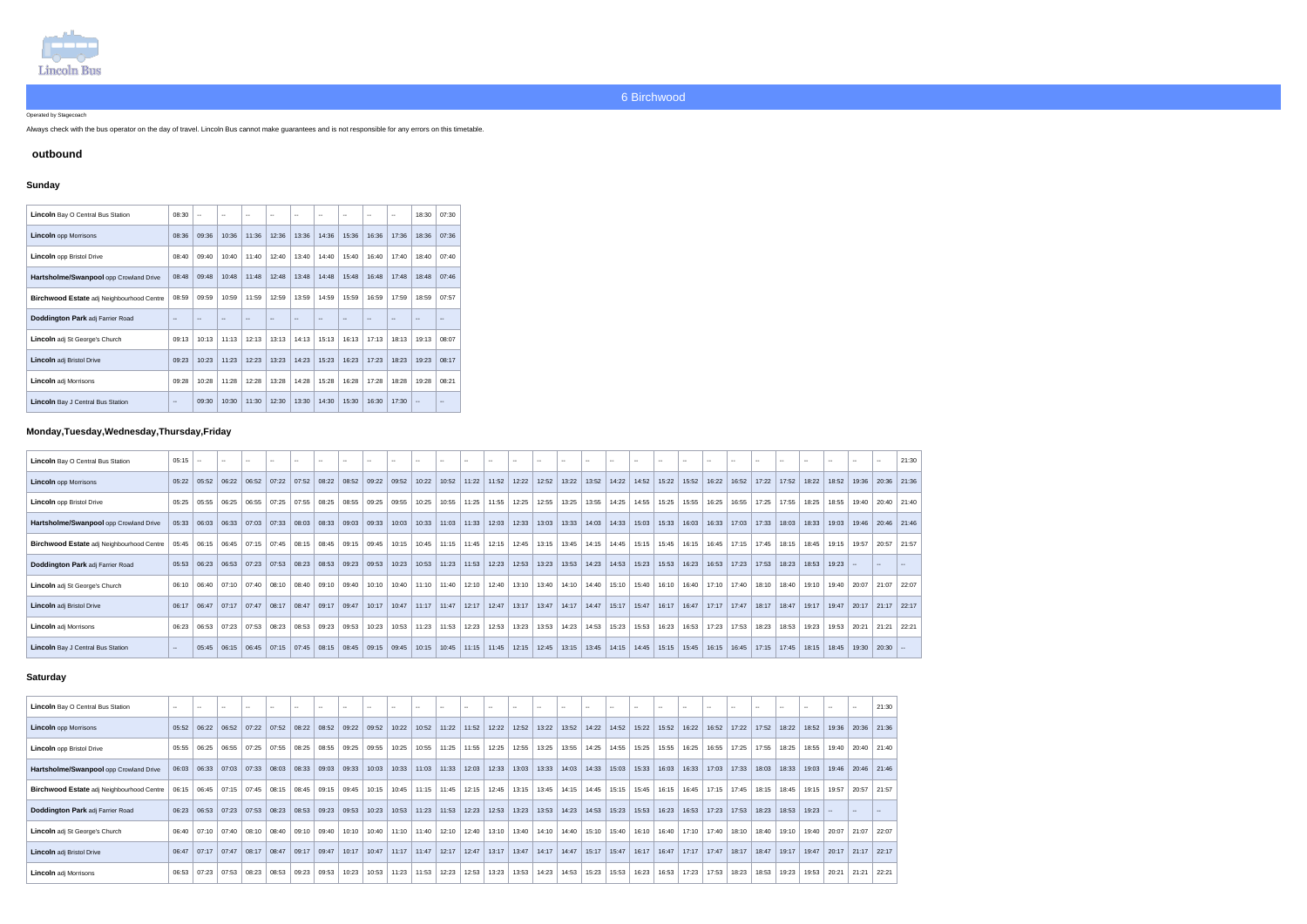

#### Operated by Stagecoach

Always check with the bus operator on the day of travel. Lincoln Bus cannot make guarantees and is not responsible for any errors on this timetable.

## **outbound**

## **Sunday**

| <b>Lincoln</b> Bay O Central Bus Station  | 08:30         | $\mathbf{u}$ | $\overline{\phantom{a}}$ | $\overline{\phantom{a}}$ | $\overline{\phantom{a}}$ | $-$           | $-$   | $\sim$ | $\overline{\phantom{a}}$ | $\overline{\phantom{a}}$ | 18:30                    | 07:30 |
|-------------------------------------------|---------------|--------------|--------------------------|--------------------------|--------------------------|---------------|-------|--------|--------------------------|--------------------------|--------------------------|-------|
| <b>Lincoln</b> opp Morrisons              | 08:36         | 09:36        | 10:36                    | 11:36                    | 12:36                    | 13:36         | 14:36 | 15:36  | 16:36                    | 17:36                    | 18:36                    | 07:36 |
| <b>Lincoln</b> opp Bristol Drive          | 08:40         | 09:40        | 10:40                    | 11:40                    | 12:40                    | 13:40         | 14:40 | 15:40  | 16:40                    | 17:40                    | 18:40                    | 07:40 |
| Hartsholme/Swanpool opp Crowland Drive    | 08:48         | 09:48        | 10:48                    | 11:48                    | 12:48                    | 13:48         | 14:48 | 15:48  | 16:48                    | 17:48                    | 18:48                    | 07:46 |
| Birchwood Estate adj Neighbourhood Centre | 08:59         | 09:59        | 10:59                    | 11:59                    | 12:59                    | 13:59         | 14:59 | 15:59  | 16:59                    | 17:59                    | 18:59                    | 07:57 |
| Doddington Park adj Farrier Road          | $\sim$ $\sim$ | $-$          | $\sim$                   | $\overline{\phantom{m}}$ | $\overline{\phantom{m}}$ | $\sim$ $\sim$ | $- -$ | $\sim$ | $\sim$                   | $-$                      | $-$                      | $- -$ |
| <b>Lincoln</b> adj St George's Church     | 09:13         | 10:13        | 11:13                    | 12:13                    | 13:13                    | 14:13         | 15:13 | 16:13  | 17:13                    | 18:13                    | 19:13                    | 08:07 |
| <b>Lincoln</b> adj Bristol Drive          | 09:23         | 10:23        | 11:23                    | 12:23                    | 13:23                    | 14:23         | 15:23 | 16:23  | 17:23                    | 18:23                    | 19:23                    | 08:17 |
| <b>Lincoln</b> adj Morrisons              | 09:28         | 10:28        | 11:28                    | 12:28                    | 13:28                    | 14:28         | 15:28 | 16:28  | 17:28                    | 18:28                    | 19:28                    | 08:21 |
| Lincoln Bay J Central Bus Station         | $\sim$        | 09:30        | 10:30                    | 11:30                    | 12:30                    | 13:30         | 14:30 | 15:30  | 16:30                    | 17:30                    | $\overline{\phantom{a}}$ | --    |

# **Monday,Tuesday,Wednesday,Thursday,Friday**

| <b>Lincoln</b> Bay O Central Bus Station         | $05:15$ -     |                         | $\sim$                | $\sim$ $\sim$ | $\sim$ $\sim$ | $\sim$ $\sim$ |       |                                                                                                           | $\sim$ | $\sim$                                  | $-$   | $\sim$ $\sim$                   | $\sim$          | $\sim$ $\sim$ |       |       | $\sim$ $-$              | $\sim$                | $\sim$ $\sim$                                                                                                                         | $\sim$                | $\sim$ | $\sim$ $\sim$                         | $\sim$ $\sim$ | $\sim$ |                                       | $\sim$ | $-$             |                               |       | <b>.</b>      | 21:30       |
|--------------------------------------------------|---------------|-------------------------|-----------------------|---------------|---------------|---------------|-------|-----------------------------------------------------------------------------------------------------------|--------|-----------------------------------------|-------|---------------------------------|-----------------|---------------|-------|-------|-------------------------|-----------------------|---------------------------------------------------------------------------------------------------------------------------------------|-----------------------|--------|---------------------------------------|---------------|--------|---------------------------------------|--------|-----------------|-------------------------------|-------|---------------|-------------|
| <b>Lincoln</b> opp Morrisons                     | 05:22         | 05:52                   | $\vert$ 06:22 $\vert$ | 06:52         |               |               |       | 07:22   07:52   08:22   08:52   09:22   09:52                                                             |        |                                         | 10:22 |                                 | $10.52$   11:22 | 11:52         | 12:22 | 12:52 | 13:22                   |                       | 13:52   14:22   14:52   15:22   15:52   16:22   16:52   17:22   17:52   18:22   18:52   19:36   20:36   21:36                         |                       |        |                                       |               |        |                                       |        |                 |                               |       |               |             |
| <b>Lincoln</b> opp Bristol Drive                 | 05:25         | 05:55                   | 06:25                 | 06:55         | 07:25         | 07:55         |       | $08:25$   08:55   09:25   09:55                                                                           |        |                                         | 10:25 | 10:55                           | 11:25           | 11:55         | 12:25 |       | $12:55$   13:25   13:55 |                       |                                                                                                                                       |                       |        | 14:25   14:55   15:25   15:55   16:25 |               | 16:55  | 17:25                                 |        | 17:55   18:25   | 18:55                         | 19:40 |               | 20:40 21:40 |
| Hartsholme/Swanpool opp Crowland Drive           |               | $05:33$   06:03   06:33 |                       | 07:03         | 07:33         | 08:03         |       | $08:33$   09:03   09:33                                                                                   |        | 10:03                                   | 10:33 | $11:03$ 11:33                   |                 | 12:03         | 12:33 | 13:03 | $\vert$ 13:33 $\vert$   | $\vert$ 14:03 $\vert$ | 14:33                                                                                                                                 | $\vert$ 15:03 $\vert$ |        |                                       |               |        | 15:33   16:03   16:33   17:03   17:33 |        | 18:03   18:33   | 19:03                         | 19:46 | $20.46$ 21:46 |             |
| <b>Birchwood Estate adj Neighbourhood Centre</b> |               |                         |                       |               |               |               |       | $0.05.45$   06:15   06:45   07:15   07:45   08:15   08:45   09:15   09:45   10:15   10:45   11:15   11:45 |        |                                         |       |                                 |                 | 12:15         |       |       |                         |                       | 12:45   13:15   13:45   14:15   14:45   15:15   15:45   16:15   16:45   17:15   17:45   18:15   18:45   19:15   19:57   20:57   21:57 |                       |        |                                       |               |        |                                       |        |                 |                               |       |               |             |
| Doddington Park adj Farrier Road                 | 05:53         | 06:23                   | 06:53                 | 07:23         | 07:53         | 08:23         |       | $08:53$ 09:23                                                                                             | 09:53  | 10:23                                   | 10:53 |                                 | $11:23$ 11:53   | 12:23         | 12:53 | 13:23 |                         |                       | $13:53$   14:23   14:53                                                                                                               |                       |        | 15:23   15:53   16:23   16:53         |               |        | $17:23$   17:53                       |        | $18:23$   18:53 | 19:23                         |       |               |             |
| <b>Lincoln</b> adj St George's Church            | 06:10         | 06:40                   | 07:10                 | 07:40         | 08:10         | 08:40         |       | 09:10 09:40                                                                                               |        | $10:10$   10:40   11:10   11:40         |       |                                 | 12:10           | 12:40         | 13:10 |       | 13:40   14:10   14:40   |                       | 15:10                                                                                                                                 | 15:40                 |        | $16:10$   16:40   17:10               |               | 17:40  | 18:10                                 |        |                 | 18:40   19:10   19:40   20:07 |       | 21:07 22:07   |             |
| <b>Lincoln</b> adj Bristol Drive                 | 06:17         | 06:47                   | 07:17                 | 07:47         | 08:17         | 08:47         | 09:17 | 09:47                                                                                                     |        | $10:17$   10:47   11:17   11:47   12:17 |       |                                 |                 | 12:47         | 13:17 |       | 13:47   14:17   14:47   |                       | 15:17                                                                                                                                 |                       |        | 15:47   16:17   16:47   17:17   17:47 |               |        | 18:17                                 |        | 18:47   19:17   | 19:47                         | 20:17 | $21:17$ 22:17 |             |
| <b>Lincoln</b> adj Morrisons                     | 06:23         | 06:53                   | 07:23                 | 07:53         | 08:23         | 08:53         |       | 09:23 09:53                                                                                               | 10:23  |                                         |       | $10:53$   11:23   11:53   12:23 |                 | 12:53         | 13:23 |       | $13:53$   14:23   14:53 |                       | 15:23                                                                                                                                 | $\vert$ 15:53 $\vert$ |        | 16:23   16:53   17:23                 |               | 17:53  | 18:23                                 |        | $18:53$   19:23 | 19.53                         | 20:21 |               | 21:21 22:21 |
| <b>Lincoln</b> Bay J Central Bus Station         | $\sim$ $\sim$ |                         |                       |               |               |               |       | $0.05:45$   06:15   06:45   07:15   07:45   08:15   08:45   09:15   09:45   10:15   10:45   11:15   11:45 |        |                                         |       |                                 |                 |               | 12:15 |       |                         |                       | 12:45   13:15   13:45   14:15   14:45   15:15   15:45   16:15   16:45   17:15   17:45   18:15   18:45   19:30   20:30                 |                       |        |                                       |               |        |                                       |        |                 |                               |       |               |             |

## **Saturday**

| <b>Lincoln</b> Bay O Central Bus Station         | $\sim$                |                                           |       |       |       |       |       |       |       |         |                                       |       |       |       |       |       |                                         |       |       |       |       |                 |       |       |       |       |       |               | $\sim$        | 21:30 |
|--------------------------------------------------|-----------------------|-------------------------------------------|-------|-------|-------|-------|-------|-------|-------|---------|---------------------------------------|-------|-------|-------|-------|-------|-----------------------------------------|-------|-------|-------|-------|-----------------|-------|-------|-------|-------|-------|---------------|---------------|-------|
| <b>Lincoln</b> opp Morrisons                     | 05:52                 | 06:22                                     | 06:52 | 07:22 | 07:52 | 08:22 | 08:52 | 09:22 | 09:52 | 10:22   | 10:52                                 | 11:22 | 11:52 | 12:22 | 12:52 | 13:22 | 13:52                                   | 14:22 | 14:52 | 15:22 | 15:52 | 16:22           | 16:52 | 17:22 | 17:52 | 18:22 | 18:52 | 19:36         | 20:36 21:36   |       |
| <b>Lincoln</b> opp Bristol Drive                 | 05:55                 | 06:25                                     | 06:55 | 07:25 | 07:55 | 08:25 | 08:55 | 09:25 | 09:55 | 10:25   | 10.55                                 | 11:25 | 11:55 | 12:25 | 12:55 | 13:25 | 13:55                                   | 14:25 | 14:55 | 15:25 | 15:55 | 16:25           | 16:55 | 17:25 | 17:55 | 18:25 | 18:55 | 19:40         | 20:40         | 21:40 |
| Hartsholme/Swanpool opp Crowland Drive           |                       | $06:03$ 06:33                             | 07:03 | 07:33 |       |       |       | 09:33 | 10:03 | 10:33   | 11:03   11:33                         |       | 12:03 | 12:33 |       |       | $13:03$   13:33   14:03   14:33   15:03 |       |       | 15:33 |       | $16:03$   16:33 | 17:03 | 17:33 | 18:03 | 18:33 |       | 19:03   19:46 | $20.46$ 21:46 |       |
| <b>Birchwood Estate adj Neighbourhood Centre</b> |                       | $\vert$ 06:15 $\vert$ 06:45 $\vert$ 07:15 |       |       |       |       |       |       | 10:15 |         | 10:45   11:15   11:45   12:15   12:45 |       |       |       | 13:15 |       | 13:45   14:15   14:45   15:15   15:45   |       |       |       | 16:15 | 16:45           | 17:15 | 17:45 | 18:15 | 18:45 | 19:15 | 19:57         | 20:57 21:57   |       |
| Doddington Park adj Farrier Road                 | $06:23 \;   \; 06:53$ |                                           | 07:23 | 07:53 | 08:23 | 08:53 | 09:23 | 09:53 | 10:23 | 10:53   | 11:23                                 | 11:53 | 12:23 | 12:53 | 13:23 | 13:53 | 14:23                                   | 14:53 | 15:23 | 15:53 | 16:23 | 16:53           | 17:23 | 17:53 | 18:23 | 18:53 | 19:23 |               |               |       |
| Lincoln adj St George's Church                   | 06:40                 | 07:10                                     | 07:40 | 08:10 | 08:40 | 09:10 | 09:40 | 10:10 | 10:40 | $11:10$ | 11:40                                 | 12:10 | 12:40 | 13:10 | 13:40 | 14:10 | 14:40                                   | 15:10 | 15:40 | 16:10 | 16:40 | 17:10           | 17:40 | 18:10 | 18:40 | 19:10 | 19:40 | 20:07         | 21:07         | 22:07 |
| <b>Lincoln</b> adj Bristol Drive                 | 06:47                 | 07:17                                     | 07:47 | 08:17 | 08:47 | 09:17 | 09:47 | 10:17 | 10:47 | 11:17   | 11:47                                 | 12:17 | 12:47 | 13:17 | 13:47 |       | 14:17   14:47                           | 15:17 | 15:47 | 16:17 | 16:47 | 17:17           | 17:47 | 18:17 | 18:47 | 19:17 | 19:47 | 20:17         | 21:17         | 22:17 |
| <b>Lincoln</b> adj Morrisons                     | 06:53                 | 07:23                                     | 07:53 | 08:23 | 08:53 | 09:23 | 09:53 | 10:23 | 10:53 | 11:23   | 11:53                                 | 12:23 | 12:53 | 13:23 | 13:53 | 14:23 | 14:53                                   | 15:23 | 15:53 | 16:23 | 16:53 | 17:23           | 17:53 | 18:23 | 18:53 | 19:23 | 19:53 | 20:21         | 21:21         | 22:21 |